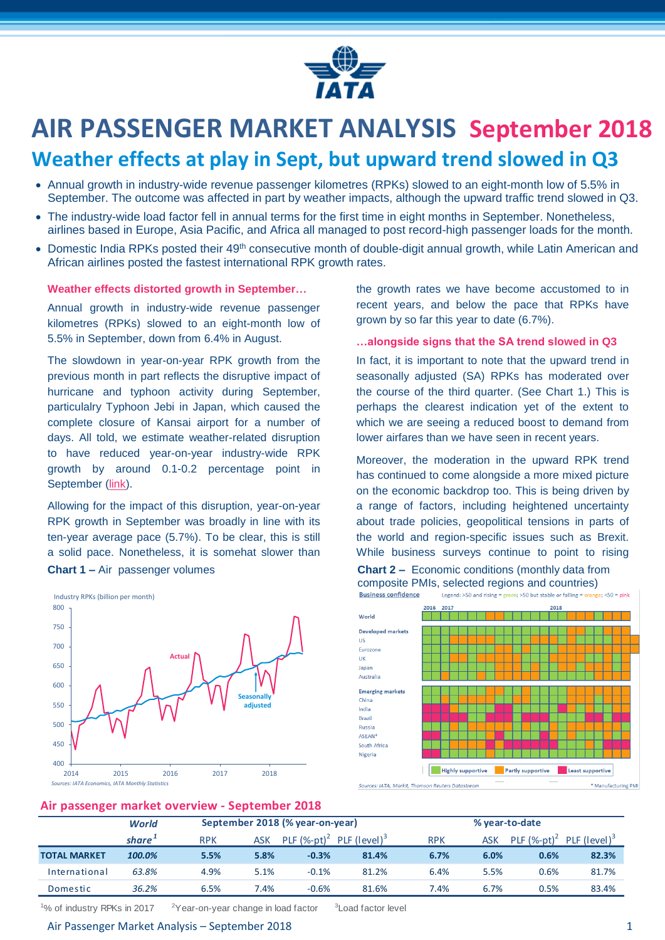

# **AIR PASSENGER MARKET ANALYSIS September 2018**

# **Weather effects at play in Sept, but upward trend slowed in Q3**

- Annual growth in industry-wide revenue passenger kilometres (RPKs) slowed to an eight-month low of 5.5% in September. The outcome was affected in part by weather impacts, although the upward traffic trend slowed in Q3.
- The industry-wide load factor fell in annual terms for the first time in eight months in September. Nonetheless, airlines based in Europe, Asia Pacific, and Africa all managed to post record-high passenger loads for the month.
- Domestic India RPKs posted their 49<sup>th</sup> consecutive month of double-digit annual growth, while Latin American and African airlines posted the fastest international RPK growth rates.

#### **Weather effects distorted growth in September…**

Annual growth in industry-wide revenue passenger kilometres (RPKs) slowed to an eight-month low of 5.5% in September, down from 6.4% in August.

The slowdown in year-on-year RPK growth from the previous month in part reflects the disruptive impact of hurricane and typhoon activity during September, particulalry Typhoon Jebi in Japan, which caused the complete closure of Kansai airport for a number of days. All told, we estimate weather-related disruption to have reduced year-on-year industry-wide RPK growth by around 0.1-0.2 percentage point in September [\(link\)](https://www.iata.org/publications/economics/Reports/Note-Assessment-typhoons-EastAsia-September.pdf).

Allowing for the impact of this disruption, year-on-year RPK growth in September was broadly in line with its ten-year average pace (5.7%). To be clear, this is still a solid pace. Nonetheless, it is somehat slower than **Chart 1** – Air passenger volumes **Chart 2** – Economic conditions (monthly data from



the growth rates we have become accustomed to in recent years, and below the pace that RPKs have grown by so far this year to date (6.7%).

#### **…alongside signs that the SA trend slowed in Q3**

In fact, it is important to note that the upward trend in seasonally adjusted (SA) RPKs has moderated over the course of the third quarter. (See Chart 1.) This is perhaps the clearest indication yet of the extent to which we are seeing a reduced boost to demand from lower airfares than we have seen in recent years.

Moreover, the moderation in the upward RPK trend has continued to come alongside a more mixed picture on the economic backdrop too. This is being driven by a range of factors, including heightened uncertainty about trade policies, geopolitical tensions in parts of the world and region-specific issues such as Brexit. While business surveys continue to point to rising composite PMIs, selected regions and countries)<br>Business confidence Legend: >50 and rising = green; >50 but stable or falling = orange; <50 = pink



### **Air passenger market overview - September 2018**

|                     | <b>World</b>       | September 2018 (% year-on-year) |            |                |                          |            | % year-to-date |                             |                          |  |  |
|---------------------|--------------------|---------------------------------|------------|----------------|--------------------------|------------|----------------|-----------------------------|--------------------------|--|--|
|                     | share <sup>+</sup> | <b>RPK</b>                      | <b>ASK</b> | PLF $(%-pt)^2$ | PLF (level) <sup>3</sup> | <b>RPK</b> | <b>ASK</b>     | PLF $(\%$ -pt) <sup>2</sup> | PLF (level) <sup>3</sup> |  |  |
| <b>TOTAL MARKET</b> | 100.0%             | 5.5%                            | 5.8%       | $-0.3%$        | 81.4%                    | 6.7%       | 6.0%           | 0.6%                        | 82.3%                    |  |  |
| International       | 63.8%              | 4.9%                            | 5.1%       | $-0.1%$        | 81.2%                    | 6.4%       | 5.5%           | 0.6%                        | 81.7%                    |  |  |
| Domestic            | 36.2%              | 6.5%                            | 7.4%       | $-0.6%$        | 81.6%                    | 7.4%       | 6.7%           | 0.5%                        | 83.4%                    |  |  |

<sup>1</sup>% of industry RPKs in 2017  $2Year-on-year change in load factor$ 

<sup>3</sup> Load factor level

#### Air Passenger Market Analysis – September 2018 1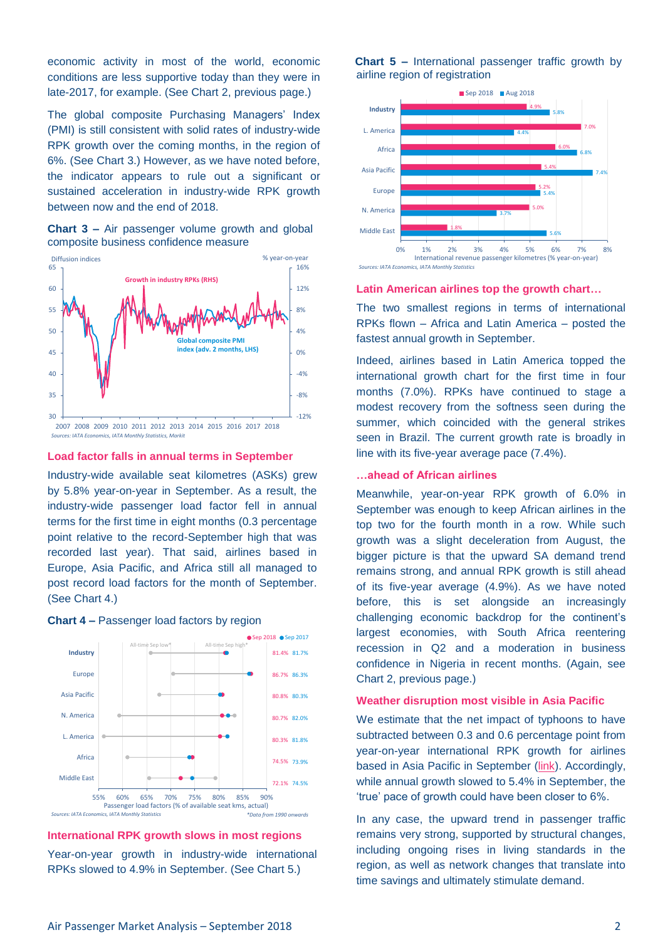economic activity in most of the world, economic conditions are less supportive today than they were in late-2017, for example. (See Chart 2, previous page.)

The global composite Purchasing Managers' Index (PMI) is still consistent with solid rates of industry-wide RPK growth over the coming months, in the region of 6%. (See Chart 3.) However, as we have noted before, the indicator appears to rule out a significant or sustained acceleration in industry-wide RPK growth between now and the end of 2018.

**Chart 3 –** Air passenger volume growth and global composite business confidence measure



*Sources: IATA Economics, IATA Monthly Statistics, Markit*

#### **Load factor falls in annual terms in September**

Industry-wide available seat kilometres (ASKs) grew by 5.8% year-on-year in September. As a result, the industry-wide passenger load factor fell in annual terms for the first time in eight months (0.3 percentage point relative to the record-September high that was recorded last year). That said, airlines based in Europe, Asia Pacific, and Africa still all managed to post record load factors for the month of September. (See Chart 4.)



#### **Chart 4 –** Passenger load factors by region

# **International RPK growth slows in most regions**

Year-on-year growth in industry-wide international RPKs slowed to 4.9% in September. (See Chart 5.)

**Chart 5 –** International passenger traffic growth by airline region of registration





#### **Latin American airlines top the growth chart…**

The two smallest regions in terms of international RPKs flown – Africa and Latin America – posted the fastest annual growth in September.

Indeed, airlines based in Latin America topped the international growth chart for the first time in four months (7.0%). RPKs have continued to stage a modest recovery from the softness seen during the summer, which coincided with the general strikes seen in Brazil. The current growth rate is broadly in line with its five-year average pace (7.4%).

#### **…ahead of African airlines**

Meanwhile, year-on-year RPK growth of 6.0% in September was enough to keep African airlines in the top two for the fourth month in a row. While such growth was a slight deceleration from August, the bigger picture is that the upward SA demand trend remains strong, and annual RPK growth is still ahead of its five-year average (4.9%). As we have noted before, this is set alongside an increasingly challenging economic backdrop for the continent's largest economies, with South Africa reentering recession in Q2 and a moderation in business confidence in Nigeria in recent months. (Again, see Chart 2, previous page.)

#### **Weather disruption most visible in Asia Pacific**

We estimate that the net impact of typhoons to have subtracted between 0.3 and 0.6 percentage point from year-on-year international RPK growth for airlines based in Asia Pacific in September [\(link\)](https://www.iata.org/publications/economics/Reports/Note-Assessment-typhoons-EastAsia-September.pdf). Accordingly, while annual growth slowed to 5.4% in September, the 'true' pace of growth could have been closer to 6%.

In any case, the upward trend in passenger traffic remains very strong, supported by structural changes, including ongoing rises in living standards in the region, as well as network changes that translate into time savings and ultimately stimulate demand.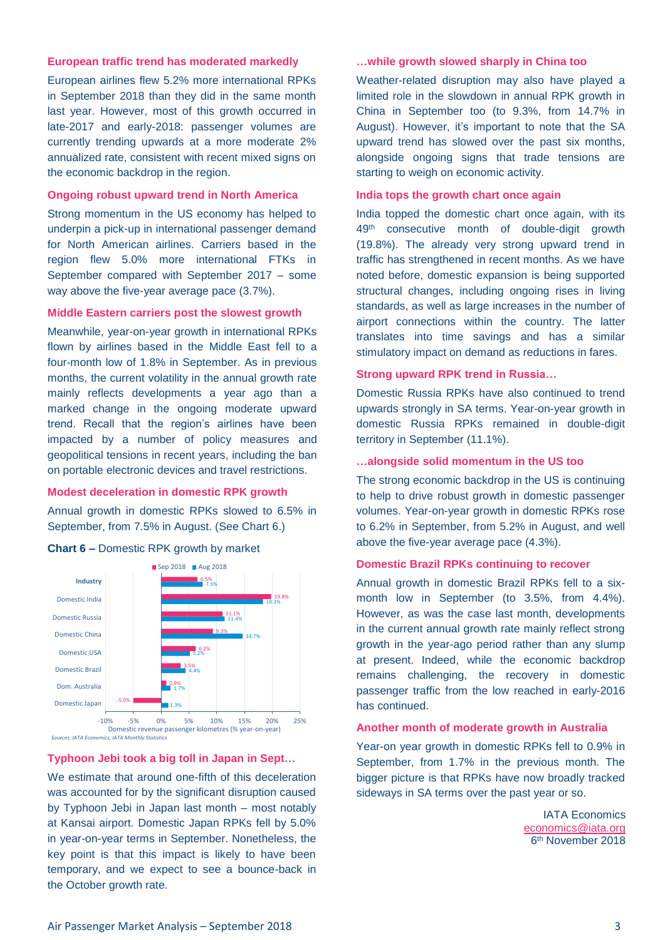#### **European traffic trend has moderated markedly**

European airlines flew 5.2% more international RPKs in September 2018 than they did in the same month last year. However, most of this growth occurred in late-2017 and early-2018: passenger volumes are currently trending upwards at a more moderate 2% annualized rate, consistent with recent mixed signs on the economic backdrop in the region.

#### **Ongoing robust upward trend in North America**

Strong momentum in the US economy has helped to underpin a pick-up in international passenger demand for North American airlines. Carriers based in the region flew 5.0% more international FTKs in September compared with September 2017 – some way above the five-year average pace (3.7%).

#### **Middle Eastern carriers post the slowest growth**

Meanwhile, year-on-year growth in international RPKs flown by airlines based in the Middle East fell to a four-month low of 1.8% in September. As in previous months, the current volatility in the annual growth rate mainly reflects developments a year ago than a marked change in the ongoing moderate upward trend. Recall that the region's airlines have been impacted by a number of policy measures and geopolitical tensions in recent years, including the ban on portable electronic devices and travel restrictions.

#### **Modest deceleration in domestic RPK growth**

Annual growth in domestic RPKs slowed to 6.5% in September, from 7.5% in August. (See Chart 6.)





#### **Typhoon Jebi took a big toll in Japan in Sept…**

We estimate that around one-fifth of this deceleration was accounted for by the significant disruption caused by Typhoon Jebi in Japan last month – most notably at Kansai airport. Domestic Japan RPKs fell by 5.0% in year-on-year terms in September. Nonetheless, the key point is that this impact is likely to have been temporary, and we expect to see a bounce-back in the October growth rate.

#### **…while growth slowed sharply in China too**

Weather-related disruption may also have played a limited role in the slowdown in annual RPK growth in China in September too (to 9.3%, from 14.7% in August). However, it's important to note that the SA upward trend has slowed over the past six months, alongside ongoing signs that trade tensions are starting to weigh on economic activity.

#### **India tops the growth chart once again**

India topped the domestic chart once again, with its 49<sup>th</sup> consecutive month of double-digit growth (19.8%). The already very strong upward trend in traffic has strengthened in recent months. As we have noted before, domestic expansion is being supported structural changes, including ongoing rises in living standards, as well as large increases in the number of airport connections within the country. The latter translates into time savings and has a similar stimulatory impact on demand as reductions in fares.

#### **Strong upward RPK trend in Russia…**

Domestic Russia RPKs have also continued to trend upwards strongly in SA terms. Year-on-year growth in domestic Russia RPKs remained in double-digit territory in September (11.1%).

#### **…alongside solid momentum in the US too**

The strong economic backdrop in the US is continuing to help to drive robust growth in domestic passenger volumes. Year-on-year growth in domestic RPKs rose to 6.2% in September, from 5.2% in August, and well above the five-year average pace (4.3%).

#### **Domestic Brazil RPKs continuing to recover**

Annual growth in domestic Brazil RPKs fell to a sixmonth low in September (to 3.5%, from 4.4%). However, as was the case last month, developments in the current annual growth rate mainly reflect strong growth in the year-ago period rather than any slump at present. Indeed, while the economic backdrop remains challenging, the recovery in domestic passenger traffic from the low reached in early-2016 has continued.

#### **Another month of moderate growth in Australia**

Year-on year growth in domestic RPKs fell to 0.9% in September, from 1.7% in the previous month. The bigger picture is that RPKs have now broadly tracked sideways in SA terms over the past year or so.

> IATA Economics [economics@iata.org](mailto:economics@iata.org) 6 th November 2018